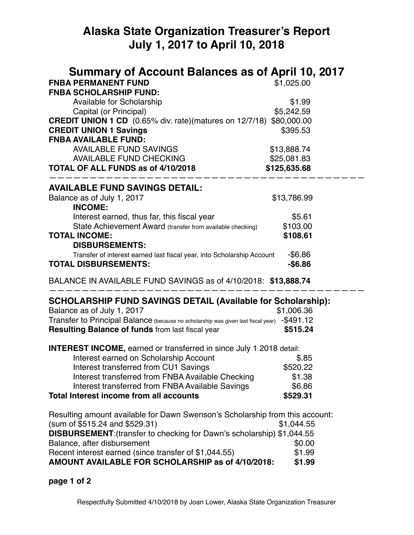## **Alaska State Organization Treasurer's Report July 1, 2017 to April 10, 2018**

| Summary of Account Balances as of April 10, 2017<br><b>FNBA PERMANENT FUND</b><br><b>FNBA SCHOLARSHIP FUND:</b>                                        | \$1,025.00   |
|--------------------------------------------------------------------------------------------------------------------------------------------------------|--------------|
| <b>Available for Scholarship</b>                                                                                                                       | \$1.99       |
| Capital (or Principal)                                                                                                                                 | \$5,242.59   |
| <b>CREDIT UNION 1 CD</b> (0.65% div. rate)(matures on 12/7/18)                                                                                         | \$80,000.00  |
| <b>CREDIT UNION 1 Savings</b><br><b>FNBA AVAILABLE FUND:</b>                                                                                           | \$395.53     |
| <b>AVAILABLE FUND SAVINGS</b>                                                                                                                          | \$13,888.74  |
| <b>AVAILABLE FUND CHECKING</b>                                                                                                                         | \$25,081.83  |
| <b>TOTAL OF ALL FUNDS as of 4/10/2018</b>                                                                                                              | \$125,635.68 |
| <b>AVAILABLE FUND SAVINGS DETAIL:</b>                                                                                                                  |              |
| Balance as of July 1, 2017<br><b>INCOME:</b>                                                                                                           | \$13,786.99  |
| Interest earned, thus far, this fiscal year                                                                                                            | \$5.61       |
| State Achievement Award (transfer from available checking)                                                                                             | \$103.00     |
| <b>TOTAL INCOME:</b>                                                                                                                                   | \$108.61     |
| <b>DISBURSEMENTS:</b><br>Transfer of interest earned last fiscal year, into Scholarship Account                                                        | $-$6.86$     |
| <b>TOTAL DISBURSEMENTS:</b>                                                                                                                            | $-$ \$6.86   |
| BALANCE IN AVAILABLE FUND SAVINGS as of 4/10/2018: \$13,888.74                                                                                         |              |
| <b>SCHOLARSHIP FUND SAVINGS DETAIL (Available for Scholarship):</b>                                                                                    |              |
| Balance as of July 1, 2017                                                                                                                             | \$1,006.36   |
| Transfer to Principal Balance (because no scholarship was given last fiscal year) -\$491.12<br><b>Resulting Balance of funds from last fiscal year</b> | \$515.24     |
|                                                                                                                                                        |              |
| <b>INTEREST INCOME, earned or transferred in since July 1 2018 detail:</b>                                                                             |              |
| Interest earned on Scholarship Account                                                                                                                 | \$.85        |
| Interest transferred from CU1 Savings                                                                                                                  | \$520.22     |
| Interest transferred from FNBA Available Checking                                                                                                      | \$1.38       |
| Interest transferred from FNBA Available Savings                                                                                                       | \$6.86       |
| <b>Total Interest income from all accounts</b>                                                                                                         | \$529.31     |
| Resulting amount available for Dawn Swenson's Scholarship from this account:<br>(sum of \$515.24 and \$529.31)                                         | \$1,044.55   |
| DISBURSEMENT: (transfer to checking for Dawn's scholarship) \$1,044.55                                                                                 |              |
| Balance, after disbursement                                                                                                                            | \$0.00       |
| Recent interest earned (since transfer of \$1,044.55)                                                                                                  | \$1.99       |
| AMOUNT AVAILABLE FOR SCHOLARSHIP as of 4/10/2018:                                                                                                      | \$1.99       |

## **page 1 of 2**